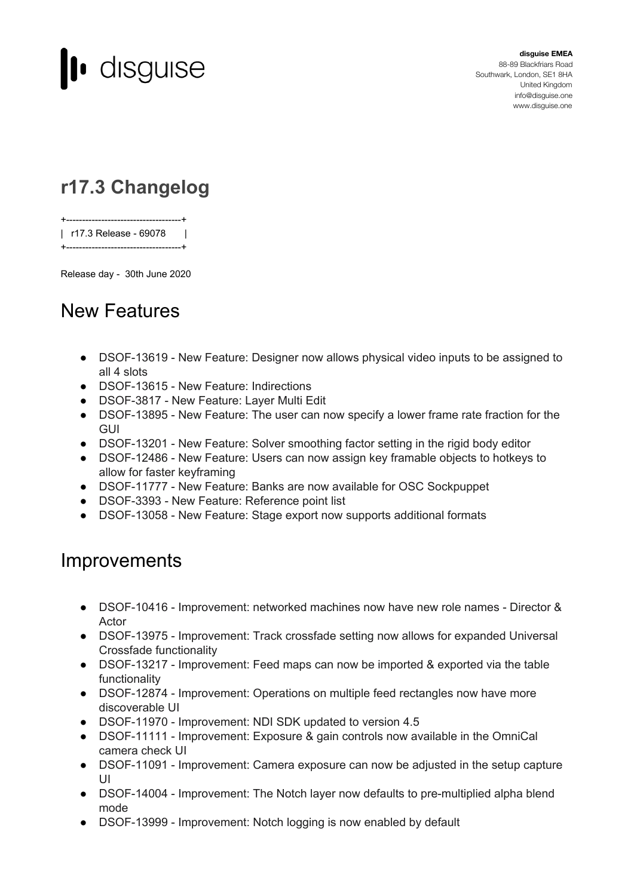

**disguise EMEA** 88-89 Blackfriars Road Southwark, London, SE1 8HA United Kingdom [info@disguise.one](mailto:info@disguise.one?subject=) www.disguise.one

## **r17.3 Changelog**

+------------------------------------+ | r17.3 Release - 69078 | +------------------------------------+

Release day - 30th June 2020

## New Features

- DSOF-13619 New Feature: Designer now allows physical video inputs to be assigned to all 4 slots
- DSOF-13615 New Feature: Indirections
- DSOF-3817 New Feature: Layer Multi Edit
- DSOF-13895 New Feature: The user can now specify a lower frame rate fraction for the GUI
- DSOF-13201 New Feature: Solver smoothing factor setting in the rigid body editor
- DSOF-12486 New Feature: Users can now assign key framable objects to hotkeys to allow for faster keyframing
- DSOF-11777 New Feature: Banks are now available for OSC Sockpuppet
- DSOF-3393 New Feature: Reference point list
- DSOF-13058 New Feature: Stage export now supports additional formats

## **Improvements**

- DSOF-10416 Improvement: networked machines now have new role names Director & Actor
- DSOF-13975 Improvement: Track crossfade setting now allows for expanded Universal Crossfade functionality
- DSOF-13217 Improvement: Feed maps can now be imported & exported via the table functionality
- DSOF-12874 Improvement: Operations on multiple feed rectangles now have more discoverable UI
- DSOF-11970 Improvement: NDI SDK updated to version 4.5
- DSOF-11111 Improvement: Exposure & gain controls now available in the OmniCal camera check UI
- DSOF-11091 Improvement: Camera exposure can now be adjusted in the setup capture UI
- DSOF-14004 Improvement: The Notch layer now defaults to pre-multiplied alpha blend mode
- DSOF-13999 Improvement: Notch logging is now enabled by default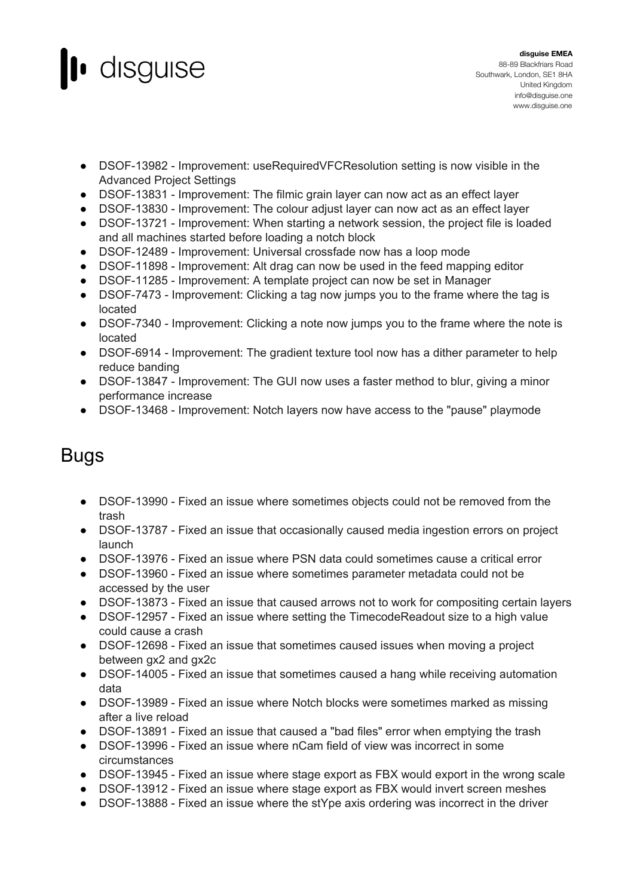

- DSOF-13982 Improvement: useRequiredVFCResolution setting is now visible in the Advanced Project Settings
- DSOF-13831 Improvement: The filmic grain layer can now act as an effect layer
- DSOF-13830 Improvement: The colour adjust layer can now act as an effect layer
- DSOF-13721 Improvement: When starting a network session, the project file is loaded and all machines started before loading a notch block
- DSOF-12489 Improvement: Universal crossfade now has a loop mode
- DSOF-11898 Improvement: Alt drag can now be used in the feed mapping editor
- DSOF-11285 Improvement: A template project can now be set in Manager
- DSOF-7473 Improvement: Clicking a tag now jumps you to the frame where the tag is located
- DSOF-7340 Improvement: Clicking a note now jumps you to the frame where the note is located
- DSOF-6914 Improvement: The gradient texture tool now has a dither parameter to help reduce banding
- DSOF-13847 Improvement: The GUI now uses a faster method to blur, giving a minor performance increase
- DSOF-13468 Improvement: Notch layers now have access to the "pause" playmode

## Bugs

- DSOF-13990 Fixed an issue where sometimes objects could not be removed from the trash
- DSOF-13787 Fixed an issue that occasionally caused media ingestion errors on project launch
- DSOF-13976 Fixed an issue where PSN data could sometimes cause a critical error
- DSOF-13960 Fixed an issue where sometimes parameter metadata could not be accessed by the user
- DSOF-13873 Fixed an issue that caused arrows not to work for compositing certain layers
- DSOF-12957 Fixed an issue where setting the TimecodeReadout size to a high value could cause a crash
- DSOF-12698 Fixed an issue that sometimes caused issues when moving a project between gx2 and gx2c
- DSOF-14005 Fixed an issue that sometimes caused a hang while receiving automation data
- DSOF-13989 Fixed an issue where Notch blocks were sometimes marked as missing after a live reload
- DSOF-13891 Fixed an issue that caused a "bad files" error when emptying the trash
- DSOF-13996 Fixed an issue where nCam field of view was incorrect in some circumstances
- DSOF-13945 Fixed an issue where stage export as FBX would export in the wrong scale
- DSOF-13912 Fixed an issue where stage export as FBX would invert screen meshes
- DSOF-13888 Fixed an issue where the stYpe axis ordering was incorrect in the driver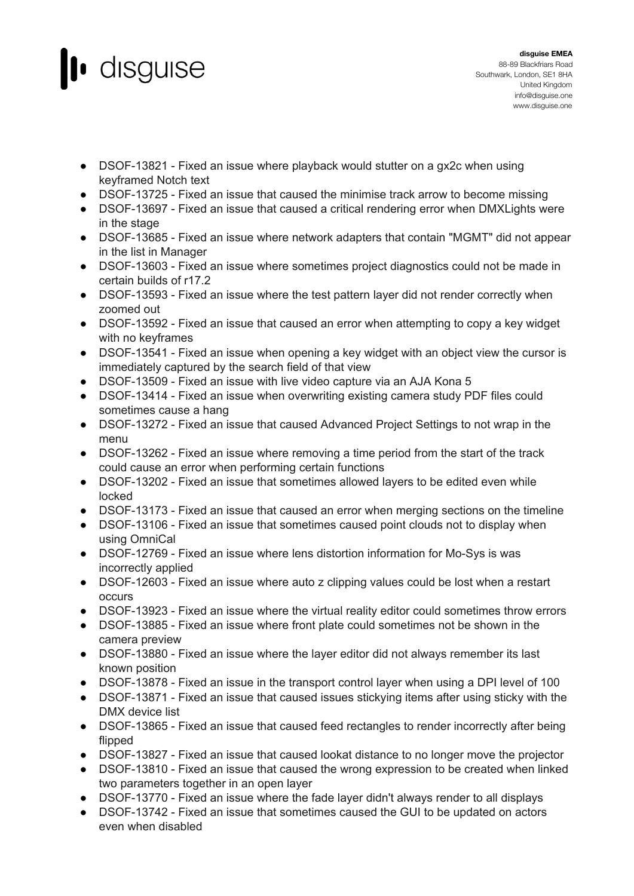

- DSOF-13821 Fixed an issue where playback would stutter on a gx2c when using keyframed Notch text
- DSOF-13725 Fixed an issue that caused the minimise track arrow to become missing
- DSOF-13697 Fixed an issue that caused a critical rendering error when DMXLights were in the stage
- DSOF-13685 Fixed an issue where network adapters that contain "MGMT" did not appear in the list in Manager
- DSOF-13603 Fixed an issue where sometimes project diagnostics could not be made in certain builds of r17.2
- DSOF-13593 Fixed an issue where the test pattern layer did not render correctly when zoomed out
- DSOF-13592 Fixed an issue that caused an error when attempting to copy a key widget with no keyframes
- DSOF-13541 Fixed an issue when opening a key widget with an object view the cursor is immediately captured by the search field of that view
- DSOF-13509 Fixed an issue with live video capture via an AJA Kona 5
- DSOF-13414 Fixed an issue when overwriting existing camera study PDF files could sometimes cause a hang
- DSOF-13272 Fixed an issue that caused Advanced Project Settings to not wrap in the menu
- DSOF-13262 Fixed an issue where removing a time period from the start of the track could cause an error when performing certain functions
- DSOF-13202 Fixed an issue that sometimes allowed layers to be edited even while locked
- DSOF-13173 Fixed an issue that caused an error when merging sections on the timeline
- DSOF-13106 Fixed an issue that sometimes caused point clouds not to display when using OmniCal
- DSOF-12769 Fixed an issue where lens distortion information for Mo-Sys is was incorrectly applied
- DSOF-12603 Fixed an issue where auto z clipping values could be lost when a restart occurs
- DSOF-13923 Fixed an issue where the virtual reality editor could sometimes throw errors
- DSOF-13885 Fixed an issue where front plate could sometimes not be shown in the camera preview
- DSOF-13880 Fixed an issue where the layer editor did not always remember its last known position
- DSOF-13878 Fixed an issue in the transport control layer when using a DPI level of 100
- DSOF-13871 Fixed an issue that caused issues stickying items after using sticky with the DMX device list
- DSOF-13865 Fixed an issue that caused feed rectangles to render incorrectly after being flipped
- DSOF-13827 Fixed an issue that caused lookat distance to no longer move the projector
- DSOF-13810 Fixed an issue that caused the wrong expression to be created when linked two parameters together in an open layer
- DSOF-13770 Fixed an issue where the fade layer didn't always render to all displays
- DSOF-13742 Fixed an issue that sometimes caused the GUI to be updated on actors even when disabled